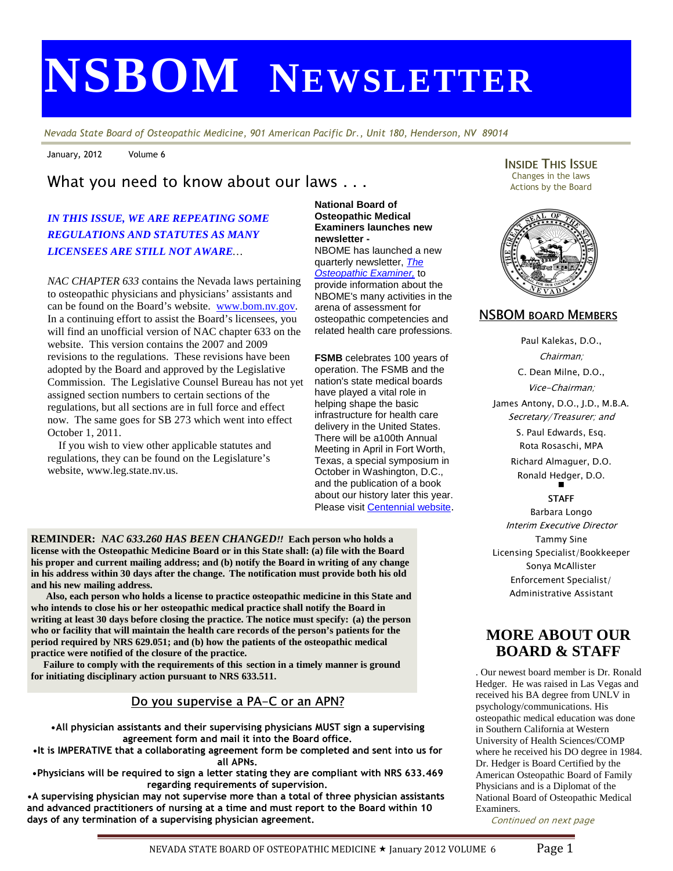# **NSBOM NEWSLETTER**

Nevada State Board of Osteopathic Medicine, 901 American Pacific Dr., Unit 180, Henderson, NV 89014

January, 2012 Volume 6

# What you need to know about our laws . . .

## *IN THIS ISSUE, WE ARE REPEATING SOME REGULATIONS AND STATUTES AS MANY LICENSEES ARE STILL NOT AWARE…*

 will find an unofficial version of NAC chapter 633 on the *NAC CHAPTER 633* contains the Nevada laws pertaining to osteopathic physicians and physicians' assistants and can be found on the Board's website. www.bom.nv.gov. In a continuing effort to assist the Board's licensees, you website. This version contains the 2007 and 2009 revisions to the regulations. These revisions have been adopted by the Board and approved by the Legislative Commission. The Legislative Counsel Bureau has not yet assigned section numbers to certain sections of the regulations, but all sections are in full force and effect now. The same goes for SB 273 which went into effect October 1, 2011.

 If you wish to view other applicable statutes and regulations, they can be found on the Legislature's website, www.leg.state.nv.us.

l.

#### **National Board of Osteopathic Medical Examiners launches new newsletter -**  NBOME has launched a new quarterly newsletter, The

**Osteopathic Examiner**, to provide information about the NBOME's many activities in the arena of assessment for osteopathic competencies and related health care professions.

**FSMB** celebrates 100 years of operation. The FSMB and the nation's state medical boards have played a vital role in helping shape the basic infrastructure for health care delivery in the United States. There will be a100th Annual Meeting in April in Fort Worth, Texas, a special symposium in October in Washington, D.C., and the publication of a book about our history later this year. Please visit Centennial website.

**REMINDER:** *NAC 633.260 HAS BEEN CHANGED*!! **Each person who holds a license with the Osteopathic Medicine Board or in this State shall: (a) file with the Board his proper and current mailing address; and (b) notify the Board in writing of any change in his address within 30 days after the change. The notification must provide both his old and his new mailing address.** 

 **Also, each person who holds a license to practice osteopathic medicine in this State and who intends to close his or her osteopathic medical practice shall notify the Board in writing at least 30 days before closing the practice. The notice must specify: (a) the person who or facility that will maintain the health care records of the person's patients for the period required by NRS 629.051; and (b) how the patients of the osteopathic medical practice were notified of the closure of the practice.** 

 **Failure to comply with the requirements of this section in a timely manner is ground for initiating disciplinary action pursuant to NRS 633.511.** 

## Do you supervise a PA-C or an APN?

•All physician assistants and their supervising physicians MUST sign a supervising agreement form and mail it into the Board office.

•It is IMPERATIVE that a collaborating agreement form be completed and sent into us for all APNs.

•Physicians will be required to sign a letter stating they are compliant with NRS 633.469 regarding requirements of supervision.

•A supervising physician may not supervise more than a total of three physician assistants and advanced practitioners of nursing at a time and must report to the Board within 10 days of any termination of a supervising physician agreement.

**INSIDE THIS ISSUE** Changes in the laws Actions by the Board



#### NSBOM BOARD MEMBERS

Paul Kalekas, D.O., Chairman; C. Dean Milne, D.O., Vice-Chairman; James Antony, D.O., J.D., M.B.A. Secretary/Treasurer; and S. Paul Edwards, Esq. Rota Rosaschi, MPA Richard Almaguer, D.O. Ronald Hedger, D.O.  $\blacksquare$ 

#### **STAFF**

Barbara Longo Interim Executive Director Tammy Sine Licensing Specialist/Bookkeeper Sonya McAllister Enforcement Specialist/ Administrative Assistant

# **MORE ABOUT OUR BOARD & STAFF**

. Our newest board member is Dr. Ronald Hedger. He was raised in Las Vegas and received his BA degree from UNLV in psychology/communications. His osteopathic medical education was done in Southern California at Western University of Health Sciences/COMP where he received his DO degree in 1984. Dr. Hedger is Board Certified by the American Osteopathic Board of Family Physicians and is a Diplomat of the National Board of Osteopathic Medical Examiners.

Continued on next page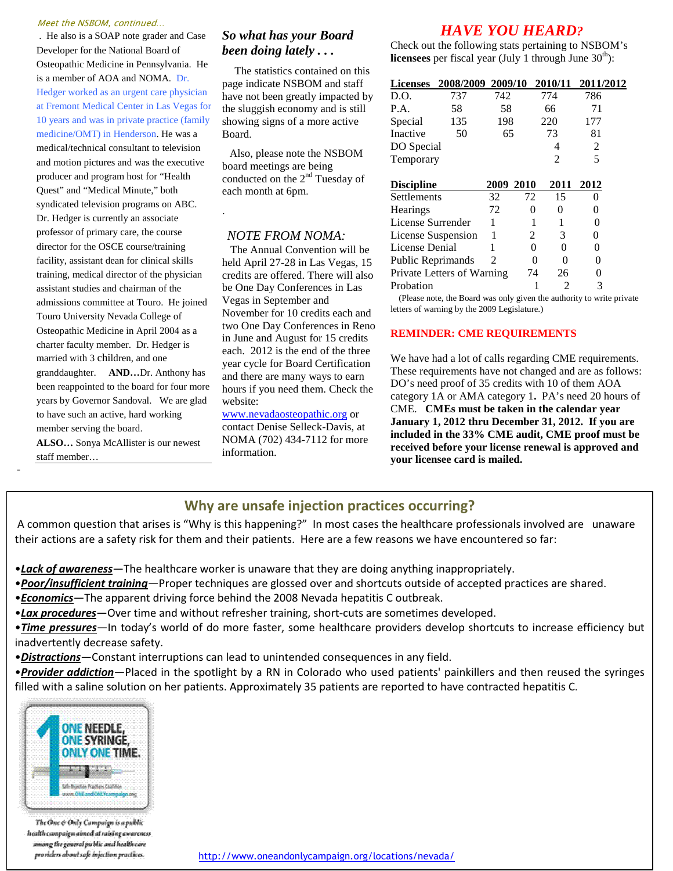#### Meet the NSBOM, continued…

 . He also is a SOAP note grader and Case Developer for the National Board of Osteopathic Medicine in Pennsylvania. He is a member of AOA and NOMA. Dr. Hedger worked as an urgent care physician at Fremont Medical Center in Las Vegas for 10 years and was in private practice (family medicine/OMT) in Henderson. He was a medical/technical consultant to television and motion pictures and was the executive producer and program host for "Health Quest" and "Medical Minute," both syndicated television programs on ABC. Dr. Hedger is currently an associate professor of primary care, the course director for the OSCE course/training facility, assistant dean for clinical skills training, medical director of the physician assistant studies and chairman of the admissions committee at Touro. He joined Touro University Nevada College of Osteopathic Medicine in April 2004 as a charter faculty member. Dr. Hedger is married with 3 children, and one granddaughter. **AND…**Dr. Anthony has been reappointed to the board for four more years by Governor Sandoval. We are glad to have such an active, hard working member serving the board.

**ALSO…** Sonya McAllister is our newest staff member…

-

## *So what has your Board been doing lately . . .*

The statistics contained on this page indicate NSBOM and staff have not been greatly impacted by the sluggish economy and is still showing signs of a more active Board.

 Also, please note the NSBOM board meetings are being conducted on the 2<sup>nd</sup> Tuesday of each month at 6pm.

#### *NOTE FROM NOMA:*

.

 The Annual Convention will be held April 27-28 in Las Vegas, 15 credits are offered. There will also be One Day Conferences in Las Vegas in September and November for 10 credits each and two One Day Conferences in Reno in June and August for 15 credits each. 2012 is the end of the three year cycle for Board Certification and there are many ways to earn hours if you need them. Check the website:

www.nevadaosteopathic.org or contact Denise Selleck-Davis, at NOMA (702) 434-7112 for more information.

# *HAVE YOU HEARD?*

Check out the following stats pertaining to NSBOM's **licensees** per fiscal year (July 1 through June  $30<sup>th</sup>$ ):

|                            | Licenses 2008/2009 2009/10 2010/11 2011/2012 |           |          |                |                |  |
|----------------------------|----------------------------------------------|-----------|----------|----------------|----------------|--|
| D.O.                       | 737                                          | 742       |          | 774            | 786            |  |
| P.A.                       | 58                                           | 58        |          | 66             | 71             |  |
| Special                    | 135                                          | 198       |          | 220            | 177            |  |
| Inactive                   | 50                                           | 65        |          | 73             | 81             |  |
| DO Special                 |                                              |           |          | 4              | $\overline{c}$ |  |
| Temporary                  |                                              |           |          | $\overline{c}$ | 5              |  |
|                            |                                              |           |          |                |                |  |
| <b>Discipline</b>          |                                              | 2009 2010 |          | 2011           | 2012           |  |
| Settlements                |                                              | 32        | 72       | 15             | 0              |  |
| Hearings                   |                                              | 72        | 0        | 0              | 0              |  |
| License Surrender          |                                              |           |          |                | 0              |  |
| License Suspension         |                                              | 1         | 2        | 3              | 0              |  |
| License Denial             |                                              | 1         | $\theta$ | 0              | 0              |  |
| Public Reprimands          |                                              | 2         |          | 0<br>0         | 0              |  |
| Private Letters of Warning |                                              |           | 74       | 26             | 0              |  |
| Probation                  |                                              |           |          | 2              | 3              |  |

 (Please note, the Board was only given the authority to write private letters of warning by the 2009 Legislature.)

#### **REMINDER: CME REQUIREMENTS**

We have had a lot of calls regarding CME requirements. These requirements have not changed and are as follows: DO's need proof of 35 credits with 10 of them AOA category 1A or AMA category 1**.** PA's need 20 hours of CME. **CMEs must be taken in the calendar year January 1, 2012 thru December 31, 2012. If you are included in the 33% CME audit, CME proof must be received before your license renewal is approved and your licensee card is mailed.**

## Why are unsafe injection practices occurring?

A common question that arises is "Why is this happening?" In most cases the healthcare professionals involved are unaware their actions are a safety risk for them and their patients. Here are a few reasons we have encountered so far:

•Lack of awareness—The healthcare worker is unaware that they are doing anything inappropriately.

• Poor/insufficient training—Proper techniques are glossed over and shortcuts outside of accepted practices are shared.

**•Economics**—The apparent driving force behind the 2008 Nevada hepatitis C outbreak.

•Lax procedures—Over time and without refresher training, short-cuts are sometimes developed.

•Time pressures—In today's world of do more faster, some healthcare providers develop shortcuts to increase efficiency but inadvertently decrease safety.

•**Distractions**—Constant interruptions can lead to unintended consequences in any field.

•Provider addiction—Placed in the spotlight by a RN in Colorado who used patients' painkillers and then reused the syringes filled with a saline solution on her patients. Approximately 35 patients are reported to have contracted hepatitis C.



The One & Only Campaign is a public health campaign aimed at raising awareness

ic and healthcare<br>|actlon prad lices, http://www.oneandonlycampaign.org/locations/nevada/